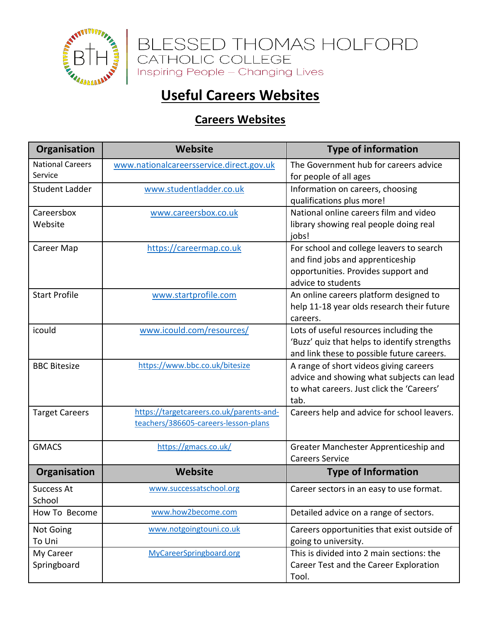

BLESSED THOMAS HOLFORD<br>CATHOLIC COLLEGE<br>Inspiring People – Changing Lives

## **Useful Careers Websites**

## **Careers Websites**

| <b>Organisation</b>                | Website                                                                          | <b>Type of information</b>                                                                                                                |
|------------------------------------|----------------------------------------------------------------------------------|-------------------------------------------------------------------------------------------------------------------------------------------|
| <b>National Careers</b><br>Service | www.nationalcareersservice.direct.gov.uk                                         | The Government hub for careers advice<br>for people of all ages                                                                           |
| <b>Student Ladder</b>              | www.studentladder.co.uk                                                          | Information on careers, choosing<br>qualifications plus more!                                                                             |
| Careersbox<br>Website              | www.careersbox.co.uk                                                             | National online careers film and video<br>library showing real people doing real<br>jobs!                                                 |
| Career Map                         | https://careermap.co.uk                                                          | For school and college leavers to search<br>and find jobs and apprenticeship<br>opportunities. Provides support and<br>advice to students |
| <b>Start Profile</b>               | www.startprofile.com                                                             | An online careers platform designed to<br>help 11-18 year olds research their future<br>careers.                                          |
| icould                             | www.icould.com/resources/                                                        | Lots of useful resources including the<br>'Buzz' quiz that helps to identify strengths<br>and link these to possible future careers.      |
| <b>BBC Bitesize</b>                | https://www.bbc.co.uk/bitesize                                                   | A range of short videos giving careers<br>advice and showing what subjects can lead<br>to what careers. Just click the 'Careers'<br>tab.  |
| <b>Target Careers</b>              | https://targetcareers.co.uk/parents-and-<br>teachers/386605-careers-lesson-plans | Careers help and advice for school leavers.                                                                                               |
| <b>GMACS</b>                       | https://gmacs.co.uk/                                                             | Greater Manchester Apprenticeship and<br><b>Careers Service</b>                                                                           |
| Organisation                       | <b>Website</b>                                                                   | <b>Type of Information</b>                                                                                                                |
| <b>Success At</b><br>School        | www.successatschool.org                                                          | Career sectors in an easy to use format.                                                                                                  |
| How To Become                      | www.how2become.com                                                               | Detailed advice on a range of sectors.                                                                                                    |
| Not Going<br>To Uni                | www.notgoingtouni.co.uk                                                          | Careers opportunities that exist outside of<br>going to university.                                                                       |
| My Career<br>Springboard           | MyCareerSpringboard.org                                                          | This is divided into 2 main sections: the<br>Career Test and the Career Exploration<br>Tool.                                              |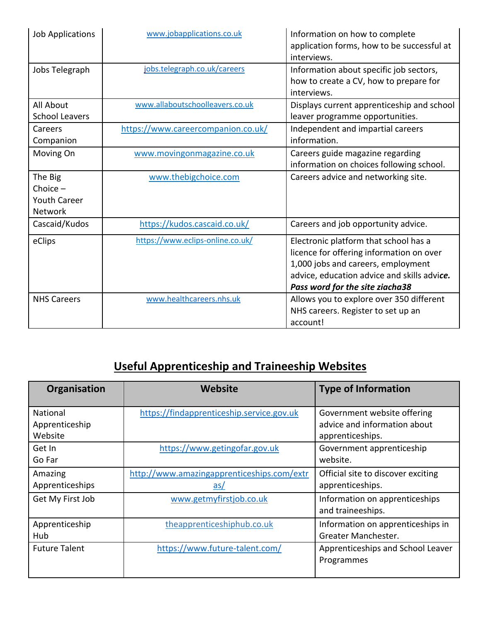| <b>Job Applications</b>                                        | www.jobapplications.co.uk          | Information on how to complete<br>application forms, how to be successful at<br>interviews.                                                                                                               |
|----------------------------------------------------------------|------------------------------------|-----------------------------------------------------------------------------------------------------------------------------------------------------------------------------------------------------------|
| Jobs Telegraph                                                 | jobs.telegraph.co.uk/careers       | Information about specific job sectors,<br>how to create a CV, how to prepare for<br>interviews.                                                                                                          |
| All About<br><b>School Leavers</b>                             | www.allaboutschoolleavers.co.uk    | Displays current apprenticeship and school<br>leaver programme opportunities.                                                                                                                             |
| Careers<br>Companion                                           | https://www.careercompanion.co.uk/ | Independent and impartial careers<br>information.                                                                                                                                                         |
| Moving On                                                      | www.movingonmagazine.co.uk         | Careers guide magazine regarding<br>information on choices following school.                                                                                                                              |
| The Big<br>Choice $-$<br><b>Youth Career</b><br><b>Network</b> | www.thebigchoice.com               | Careers advice and networking site.                                                                                                                                                                       |
| Cascaid/Kudos                                                  | https://kudos.cascaid.co.uk/       | Careers and job opportunity advice.                                                                                                                                                                       |
| eClips                                                         | https://www.eclips-online.co.uk/   | Electronic platform that school has a<br>licence for offering information on over<br>1,000 jobs and careers, employment<br>advice, education advice and skills advice.<br>Pass word for the site ziacha38 |
| <b>NHS Careers</b>                                             | www.healthcareers.nhs.uk           | Allows you to explore over 350 different<br>NHS careers. Register to set up an<br>account!                                                                                                                |

# **Useful Apprenticeship and Traineeship Websites**

| Organisation         | <b>Website</b>                             | <b>Type of Information</b>         |
|----------------------|--------------------------------------------|------------------------------------|
| National             | https://findapprenticeship.service.gov.uk  | Government website offering        |
| Apprenticeship       |                                            | advice and information about       |
| Website              |                                            | apprenticeships.                   |
| Get In               | https://www.getingofar.gov.uk              | Government apprenticeship          |
| Go Far               |                                            | website.                           |
| Amazing              | http://www.amazingapprenticeships.com/extr | Official site to discover exciting |
| Apprenticeships      | $\overline{a}$ s/                          | apprenticeships.                   |
| Get My First Job     | www.getmyfirstjob.co.uk                    | Information on apprenticeships     |
|                      |                                            | and traineeships.                  |
| Apprenticeship       | theapprenticeshiphub.co.uk                 | Information on apprenticeships in  |
| Hub                  |                                            | Greater Manchester.                |
| <b>Future Talent</b> | https://www.future-talent.com/             | Apprenticeships and School Leaver  |
|                      |                                            | Programmes                         |
|                      |                                            |                                    |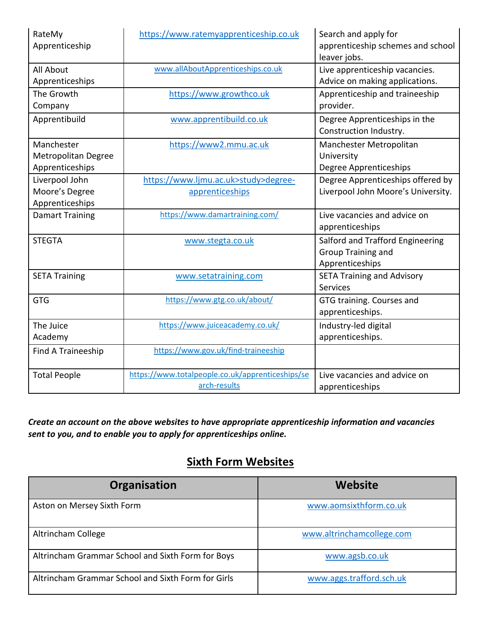| RateMy<br>Apprenticeship                                    | https://www.ratemyapprenticeship.co.uk                           | Search and apply for<br>apprenticeship schemes and school<br>leaver jobs.        |
|-------------------------------------------------------------|------------------------------------------------------------------|----------------------------------------------------------------------------------|
| <b>All About</b><br>Apprenticeships                         | www.allAboutApprenticeships.co.uk                                | Live apprenticeship vacancies.<br>Advice on making applications.                 |
| The Growth<br>Company                                       | https://www.growthco.uk                                          | Apprenticeship and traineeship<br>provider.                                      |
| Apprentibuild                                               | www.apprentibuild.co.uk                                          | Degree Apprenticeships in the<br>Construction Industry.                          |
| Manchester<br><b>Metropolitan Degree</b><br>Apprenticeships | https://www2.mmu.ac.uk                                           | Manchester Metropolitan<br>University<br>Degree Apprenticeships                  |
| Liverpool John                                              | https://www.ljmu.ac.uk>study>degree-                             | Degree Apprenticeships offered by                                                |
| Moore's Degree                                              | apprenticeships                                                  | Liverpool John Moore's University.                                               |
| Apprenticeships                                             |                                                                  |                                                                                  |
| <b>Damart Training</b>                                      | https://www.damartraining.com/                                   | Live vacancies and advice on<br>apprenticeships                                  |
| <b>STEGTA</b>                                               | www.stegta.co.uk                                                 | Salford and Trafford Engineering<br><b>Group Training and</b><br>Apprenticeships |
| <b>SETA Training</b>                                        | www.setatraining.com                                             | <b>SETA Training and Advisory</b><br><b>Services</b>                             |
| <b>GTG</b>                                                  | https://www.gtg.co.uk/about/                                     | GTG training. Courses and<br>apprenticeships.                                    |
| The Juice<br>Academy                                        | https://www.juiceacademy.co.uk/                                  | Industry-led digital<br>apprenticeships.                                         |
| Find A Traineeship                                          | https://www.gov.uk/find-traineeship                              |                                                                                  |
| <b>Total People</b>                                         | https://www.totalpeople.co.uk/apprenticeships/se<br>arch-results | Live vacancies and advice on<br>apprenticeships                                  |

*Create an account on the above websites to have appropriate apprenticeship information and vacancies sent to you, and to enable you to apply for apprenticeships online.*

#### **Sixth Form Websites**

| Organisation                                       | Website                   |
|----------------------------------------------------|---------------------------|
| Aston on Mersey Sixth Form                         | www.aomsixthform.co.uk    |
| Altrincham College                                 | www.altrinchamcollege.com |
| Altrincham Grammar School and Sixth Form for Boys  | www.agsb.co.uk            |
| Altrincham Grammar School and Sixth Form for Girls | www.aggs.trafford.sch.uk  |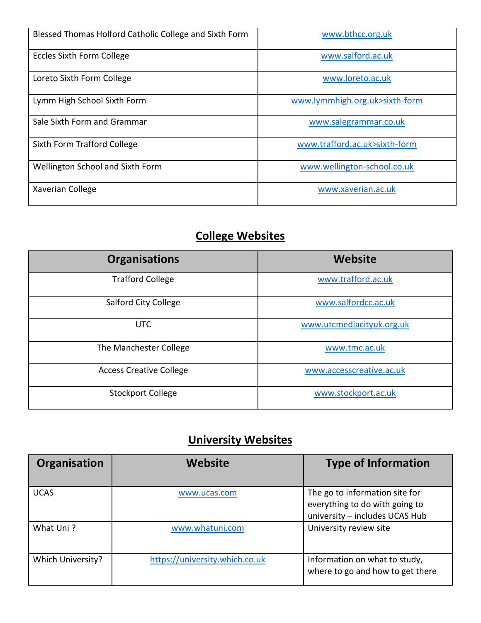| Blessed Thomas Holford Catholic College and Sixth Form | www.bthcc.org.uk               |
|--------------------------------------------------------|--------------------------------|
| <b>Eccles Sixth Form College</b>                       | www.salford.ac.uk              |
| Loreto Sixth Form College                              | www.loreto.ac.uk               |
| Lymm High School Sixth Form                            | www.lymmhigh.org.uk>sixth-form |
| Sale Sixth Form and Grammar                            | www.salegrammar.co.uk          |
| Sixth Form Trafford College                            | www.trafford.ac.uk>sixth-form  |
| Wellington School and Sixth Form                       | www.wellington-school.co.uk    |
| Xaverian College                                       | www.xaverian.ac.uk             |

### **College Websites**

| <b>Organisations</b>           | Website                   |
|--------------------------------|---------------------------|
| <b>Trafford College</b>        | www.trafford.ac.uk        |
| <b>Salford City College</b>    | www.salfordcc.ac.uk       |
| <b>UTC</b>                     | www.utcmediacityuk.org.uk |
| The Manchester College         | www.tmc.ac.uk             |
| <b>Access Creative College</b> | www.accesscreative.ac.uk  |
| <b>Stockport College</b>       | www.stockport.ac.uk       |

## **University Websites**

| Organisation      | <b>Website</b>                 | <b>Type of Information</b>                                                                         |
|-------------------|--------------------------------|----------------------------------------------------------------------------------------------------|
| <b>UCAS</b>       | www.ucas.com                   | The go to information site for<br>everything to do with going to<br>university - includes UCAS Hub |
| What Uni?         | www.whatuni.com                | University review site                                                                             |
| Which University? | https://university.which.co.uk | Information on what to study,<br>where to go and how to get there                                  |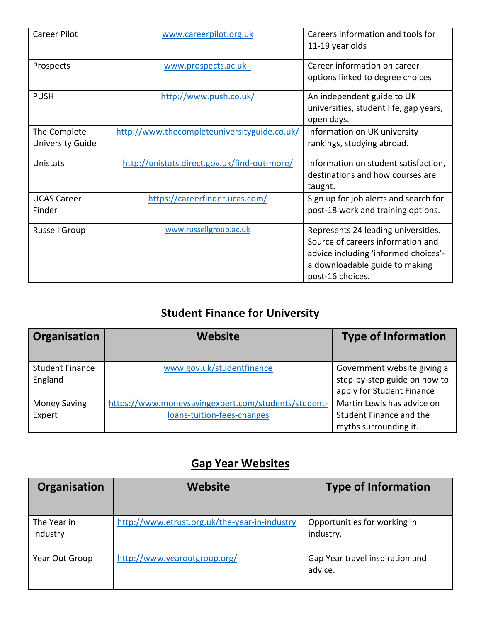| <b>Career Pilot</b>                     | www.careerpilot.org.uk                       | Careers information and tools for<br>11-19 year olds                                                                                                                   |
|-----------------------------------------|----------------------------------------------|------------------------------------------------------------------------------------------------------------------------------------------------------------------------|
| Prospects                               | www.prospects.ac.uk -                        | Career information on career<br>options linked to degree choices                                                                                                       |
| <b>PUSH</b>                             | http://www.push.co.uk/                       | An independent guide to UK<br>universities, student life, gap years,<br>open days.                                                                                     |
| The Complete<br><b>University Guide</b> | http://www.thecompleteuniversityguide.co.uk/ | Information on UK university<br>rankings, studying abroad.                                                                                                             |
| Unistats                                | http://unistats.direct.gov.uk/find-out-more/ | Information on student satisfaction,<br>destinations and how courses are<br>taught.                                                                                    |
| <b>UCAS Career</b><br>Finder            | https://careerfinder.ucas.com/               | Sign up for job alerts and search for<br>post-18 work and training options.                                                                                            |
| <b>Russell Group</b>                    | www.russellgroup.ac.uk                       | Represents 24 leading universities.<br>Source of careers information and<br>advice including 'informed choices'-<br>a downloadable guide to making<br>post-16 choices. |

## **Student Finance for University**

| Organisation                      | <b>Website</b>                                                                    | <b>Type of Information</b>                                                               |
|-----------------------------------|-----------------------------------------------------------------------------------|------------------------------------------------------------------------------------------|
| <b>Student Finance</b><br>England | www.gov.uk/studentfinance                                                         | Government website giving a<br>step-by-step guide on how to<br>apply for Student Finance |
| <b>Money Saving</b><br>Expert     | https://www.moneysavingexpert.com/students/student-<br>loans-tuition-fees-changes | Martin Lewis has advice on<br>Student Finance and the<br>myths surrounding it.           |

## **Gap Year Websites**

| Organisation            | Website                                       | <b>Type of Information</b>                 |
|-------------------------|-----------------------------------------------|--------------------------------------------|
| The Year in<br>Industry | http://www.etrust.org.uk/the-year-in-industry | Opportunities for working in<br>industry.  |
| Year Out Group          | http://www.yearoutgroup.org/                  | Gap Year travel inspiration and<br>advice. |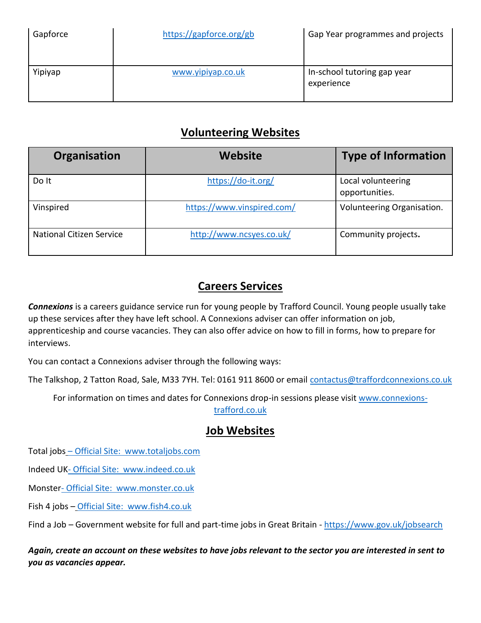| Gapforce | https://gapforce.org/gb | Gap Year programmes and projects          |
|----------|-------------------------|-------------------------------------------|
| Yipiyap  | www.yipiyap.co.uk       | In-school tutoring gap year<br>experience |

#### **Volunteering Websites**

| Organisation                    | <b>Website</b>             | <b>Type of Information</b>           |
|---------------------------------|----------------------------|--------------------------------------|
| Do It                           | https://do-it.org/         | Local volunteering<br>opportunities. |
| Vinspired                       | https://www.vinspired.com/ | Volunteering Organisation.           |
| <b>National Citizen Service</b> | http://www.ncsyes.co.uk/   | Community projects.                  |

#### **Careers Services**

*Connexions* is a careers guidance service run for young people by Trafford Council. Young people usually take up these services after they have left school. A Connexions adviser can offer information on job, apprenticeship and course vacancies. They can also offer advice on how to fill in forms, how to prepare for interviews.

You can contact a Connexions adviser through the following ways:

The Talkshop, 2 Tatton Road, Sale, M33 7YH. Tel: 0161 911 8600 or email [contactus@traffordconnexions.co.uk](mailto:contactus@traffordconnexions.co.uk)

For information on times and dates for Connexions drop-in sessions please visi[t www.connexions-](http://www.connexions-trafford.co.uk/)

[trafford.co.uk](http://www.connexions-trafford.co.uk/)

#### **Job Websites**

Total jobs – Official Site: [www.totaljobs.com](http://www.totaljobs.com/)

Indeed UK- Official Site: [www.indeed.co.uk](http://www.indeed.co.uk/)

Monster- Official Site: [www.monster.co.uk](http://www.monster.co.uk/)

Fish 4 jobs – Official Site: [www.fish4.co.uk](http://www.fish4.co.uk/)

Find a Job – Government website for full and part-time jobs in Great Britain - <https://www.gov.uk/jobsearch>

*Again, create an account on these websites to have jobs relevant to the sector you are interested in sent to you as vacancies appear.*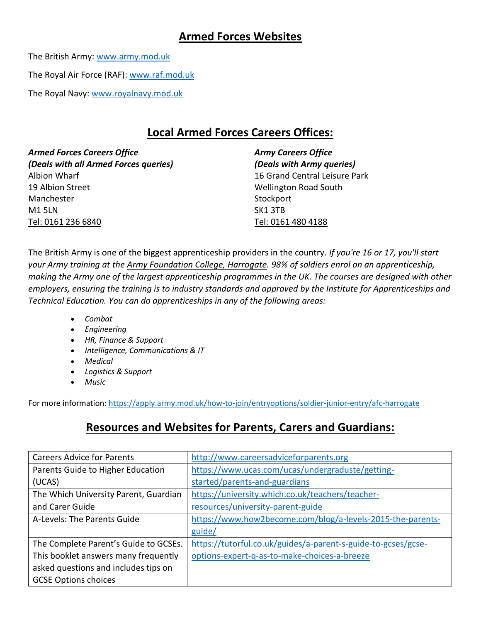#### **Armed Forces Websites**

The British Army: [www.army.mod.uk](http://www.army.mod.uk/)

The Royal Air Force (RAF): [www.raf.mod.uk](http://www.raf.mod.uk/)

The Royal Navy: [www.royalnavy.mod.uk](http://www.royalnavy.mod.uk/)

#### **Local Armed Forces Careers Offices:**

*Armed Forces Careers Office Army Careers Office (Deals with all Armed Forces queries) (Deals with Army queries)* Albion Wharf 16 Grand Central Leisure Park 19 Albion Street No. 2010 19 Albion Street New York 19 Albion Street Manchester Stockport Stockport M1 5LN SK1 3TB Tel: 0161 236 6840 Tel: 0161 480 4188

The British Army is one of the biggest apprenticeship providers in the country. *If you're 16 or 17, you'll start your Army training at the [Army Foundation College, Harrogate.](https://apply.army.mod.uk/how-to-join/entryoptions/soldier-junior-entry/AFC-Harrogate) 98% of soldiers enrol on an apprenticeship, making the Army one of the largest apprenticeship programmes in the UK. The courses are designed with other employers, ensuring the training is to industry standards and approved by the Institute for Apprenticeships and Technical Education. You can do apprenticeships in any of the following areas:*

- *Combat*
- *Engineering*
- *HR, Finance & Support*
- *Intelligence, Communications & IT*
- *Medical*
- *Logistics & Support*
- *Music*

For more information:<https://apply.army.mod.uk/how-to-join/entryoptions/soldier-junior-entry/afc-harrogate>

#### **Resources and Websites for Parents, Carers and Guardians:**

| <b>Careers Advice for Parents</b>     | http://www.careersadviceforparents.org                        |
|---------------------------------------|---------------------------------------------------------------|
| Parents Guide to Higher Education     | https://www.ucas.com/ucas/undergraduste/getting-              |
| (UCAS)                                | started/parents-and-guardians                                 |
| The Which University Parent, Guardian | https://university.which.co.uk/teachers/teacher-              |
| and Carer Guide                       | resources/university-parent-guide                             |
| A-Levels: The Parents Guide           | https://www.how2become.com/blog/a-levels-2015-the-parents-    |
|                                       | guide/                                                        |
| The Complete Parent's Guide to GCSEs. | https://tutorful.co.uk/guides/a-parent-s-guide-to-gcses/gcse- |
| This booklet answers many frequently  | options-expert-q-as-to-make-choices-a-breeze                  |
| asked questions and includes tips on  |                                                               |
| <b>GCSE Options choices</b>           |                                                               |